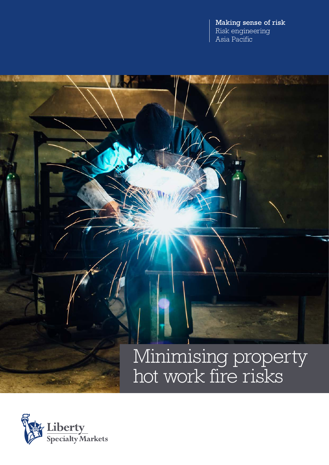Making sense of risk Risk engineering Asia Pacific

# Minimising property hot work fire risks

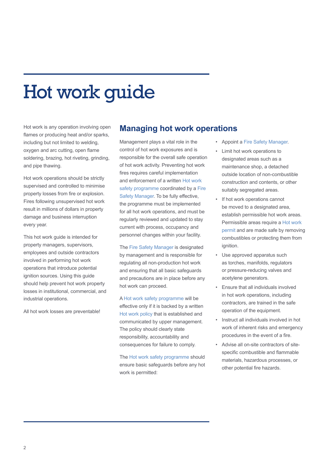# Hot work guide

Hot work is any operation involving open flames or producing heat and/or sparks, including but not limited to welding, oxygen and arc cutting, open flame soldering, brazing, hot riveting, grinding, and pipe thawing.

Hot work operations should be strictly supervised and controlled to minimise property losses from fire or explosion. Fires following unsupervised hot work result in millions of dollars in property damage and business interruption every year.

This hot work guide is intended for property managers, supervisors, employees and outside contractors involved in performing hot work operations that introduce potential ignition sources. Using this guide should help prevent hot work property losses in institutional, commercial, and industrial operations.

All hot work losses are preventable!

### **Managing hot work operations**

Management plays a vital role in the control of hot work exposures and is responsible for the overall safe operation of hot work activity. Preventing hot work fires requires careful implementation and enforcement of a written Hot work safety programme coordinated by a Fire Safety Manager. To be fully effective, the programme must be implemented for all hot work operations, and must be regularly reviewed and updated to stay current with process, occupancy and personnel changes within your facility.

The Fire Safety Manager is designated by management and is responsible for regulating all non-production hot work and ensuring that all basic safeguards and precautions are in place before any hot work can proceed.

A Hot work safety programme will be effective only if it is backed by a written Hot work policy that is established and communicated by upper management. The policy should clearly state responsibility, accountability and consequences for failure to comply.

The Hot work safety programme should ensure basic safeguards before any hot work is permitted:

- Appoint a Fire Safety Manager.
- Limit hot work operations to designated areas such as a maintenance shop, a detached outside location of non-combustible construction and contents, or other suitably segregated areas.
- If hot work operations cannot be moved to a designated area, establish permissible hot work areas. Permissible areas require a Hot work permit and are made safe by removing combustibles or protecting them from ignition.
- Use approved apparatus such as torches, manifolds, regulators or pressure-reducing valves and acetylene generators.
- Ensure that all individuals involved in hot work operations, including contractors, are trained in the safe operation of the equipment.
- Instruct all individuals involved in hot work of inherent risks and emergency procedures in the event of a fire.
- Advise all on-site contractors of sitespecific combustible and flammable materials, hazardous processes, or other potential fire hazards.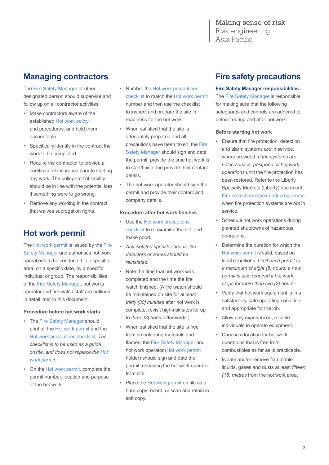Making sense of risk Risk engineering Asia Pacific

## **Managing contractors**

The Fire Safety Manager or other designated person should supervise and follow up on all contractor activities:

- Make contractors aware of the established Hot work policy and procedures, and hold them accountable.
- Specifically identify in the contract the work to be completed.
- Require the contractor to provide a certificate of insurance prior to starting any work. The policy limit of liability should be in line with the potential loss if something were to go wrong.
- Remove any wording in the contract that waives subrogation rights.

## **Hot work permit**

The Hot work permit is issued by the Fire Safety Manager and authorises hot work operations to be conducted in a specific area, on a specific date, by a specific individual or group. The responsibilities of the Fire Safety Manager, hot works operator and fire watch staff are outlined in detail later in this document.

#### **Procedure before hot work starts**

- The Fire Safety Manager should print off the Hot work permit and the Hot work precautions checklist. *The checklist is to be used as a guide onsite, and does not replace the Hot work permit.*
- On the Hot work permit, complete the permit number, location and purpose of the hot work.
- Number the Hot work precautions checklist to match the Hot work permit number and then use the checklist to inspect and prepare the site in readiness for the hot work.
- When satisfied that the site is adequately prepared and all precautions have been taken, the Fire Safety Manager should sign and date the permit, provide the time hot work is to start/finish and provide their contact details.
- The hot work operator should sign the permit and provide their contact and company details.

#### **Procedure after hot work finishes**

- Use the Hot work precautions checklist to re-examine the site and make good.
- *Any isolated sprinkler heads, fire detectors or zones should be reinstated.*
- Note the time that hot work was completed and the time the fire watch finished. (A fire watch should be maintained on site for at least *thirty [30] minutes* after hot work is complete; revisit high-risk sites for up to *three [3] hours* afterwards.)
- When satisfied that the site is free from smouldering materials and flames, the Fire Safety Manager and hot work operator (Hot work permit holder) should sign and date the permit, releasing the hot work operator from site.
- Place the Hot work permit on file as a hard copy record, or scan and retain in soft copy.

## **Fire safety precautions**

#### **Fire Safety Manager responsibilities**

The Fire Safety Manager is responsible for making sure that the following safeguards and controls are adhered to before, during and after hot work:

#### **Before starting hot work**

- Ensure that fire protection, detection and alarm systems are in service, where provided. *If the systems are not in service, postpone all hot work operations* until the fire protection has been restored. Refer to the Liberty Specialty Markets (Liberty) document Fire protection impairment programme when fire protection systems are not in service.
- Schedule hot work operations during planned shutdowns of hazardous operations.
- Determine the duration for which the Hot work permit is valid, based on local conditions. *Limit each permit to a maximum of eight (8) hours; a new permit is also required if hot work stops for more than two (2) hours.*
- Verify that hot work equipment is in a satisfactory, safe operating condition and appropriate for the job.
- Allow only experienced, reliable individuals to operate equipment.
- Choose a location for hot work operations that is free from combustibles as far as is practicable.
- Isolate and/or remove flammable liquids, gases and dusts at least *fifteen (15) metres* from the hot work area.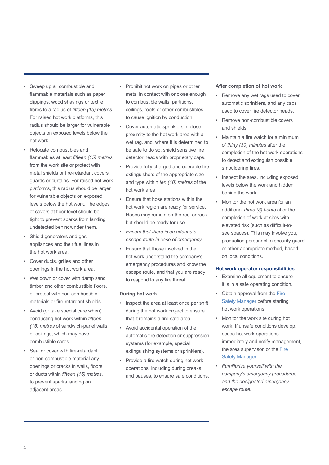- Sweep up all combustible and flammable materials such as paper clippings, wood shavings or textile fibres to a radius of *fifteen (15) metres*. For raised hot work platforms, this radius should be larger for vulnerable objects on exposed levels below the hot work.
- Relocate combustibles and flammables at least *fifteen (15) metres* from the work site or protect with metal shields or fire-retardant covers, guards or curtains. For raised hot work platforms, this radius should be larger for vulnerable objects on exposed levels below the hot work. The edges of covers at floor level should be tight to prevent sparks from landing undetected behind/under them.
- Shield generators and gas appliances and their fuel lines in the hot work area.
- Cover ducts, grilles and other openings in the hot work area.
- Wet down or cover with damp sand timber and other combustible floors, or protect with non-combustible materials or fire-retardant shields.
- Avoid (or take special care when) conducting hot work within *fifteen (15) metres* of sandwich-panel walls or ceilings, which may have combustible cores.
- Seal or cover with fire-retardant or non-combustible material any openings or cracks in walls, floors or ducts within *fifteen (15) metres*, to prevent sparks landing on adjacent areas.
- Prohibit hot work on pipes or other metal in contact with or close enough to combustible walls, partitions, ceilings, roofs or other combustibles to cause ignition by conduction.
- Cover automatic sprinklers in close proximity to the hot work area with a wet rag, and, where it is determined to be safe to do so, shield sensitive fire detector heads with proprietary caps.
- Provide fully charged and operable fire extinguishers of the appropriate size and type within *ten (10) metres* of the hot work area.
- Ensure that hose stations within the hot work region are ready for service. Hoses may remain on the reel or rack but should be ready for use.
- *Ensure that there is an adequate escape route in case of emergency.*
- Ensure that those involved in the hot work understand the company's emergency procedures and know the escape route, and that you are ready to respond to any fire threat.

#### **During hot work**

- Inspect the area at least once per shift during the hot work project to ensure that it remains a fire-safe area.
- Avoid accidental operation of the automatic fire detection or suppression systems (for example, special extinguishing systems or sprinklers).
- Provide a fire watch during hot work operations, including during breaks and pauses, to ensure safe conditions.

#### **After completion of hot work**

- Remove any wet rags used to cover automatic sprinklers, and any caps used to cover fire detector heads.
- Remove non-combustible covers and shields.
- Maintain a fire watch for a minimum of *thirty (30) minutes* after the completion of the hot work operations to detect and extinguish possible smouldering fires.
- Inspect the area, including exposed levels below the work and hidden behind the work.
- Monitor the hot work area for an additional *three (3) hours* after the completion of work at sites with elevated risk (such as difficult-tosee spaces). This may involve you, production personnel, a security guard or other appropriate method, based on local conditions.

#### **Hot work operator responsibilities**

- Examine all equipment to ensure it is in a safe operating condition.
- Obtain approval from the Fire Safety Manager before starting hot work operations.
- Monitor the work site during hot work. If unsafe conditions develop, cease hot work operations immediately and notify management, the area supervisor, or the Fire Safety Manager.
- *Familiarise yourself with the company's emergency procedures and the designated emergency escape route.*